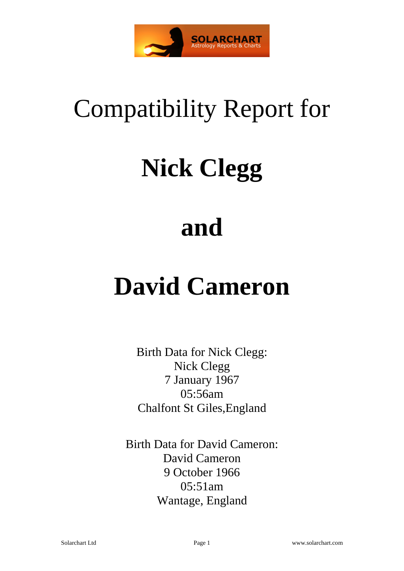

# Compatibility Report for

# **Nick Clegg**

# **and**

# **David Cameron**

Birth Data for Nick Clegg: Nick Clegg 7 January 1967 05:56am Chalfont St Giles,England

Birth Data for David Cameron: David Cameron 9 October 1966 05:51am Wantage, England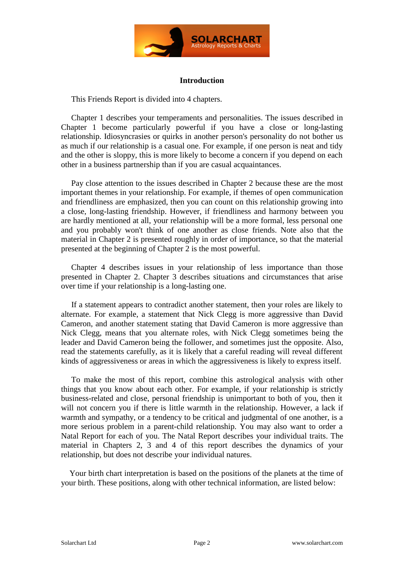

#### **Introduction**

This Friends Report is divided into 4 chapters.

 Chapter 1 describes your temperaments and personalities. The issues described in Chapter 1 become particularly powerful if you have a close or long-lasting relationship. Idiosyncrasies or quirks in another person's personality do not bother us as much if our relationship is a casual one. For example, if one person is neat and tidy and the other is sloppy, this is more likely to become a concern if you depend on each other in a business partnership than if you are casual acquaintances.

 Pay close attention to the issues described in Chapter 2 because these are the most important themes in your relationship. For example, if themes of open communication and friendliness are emphasized, then you can count on this relationship growing into a close, long-lasting friendship. However, if friendliness and harmony between you are hardly mentioned at all, your relationship will be a more formal, less personal one and you probably won't think of one another as close friends. Note also that the material in Chapter 2 is presented roughly in order of importance, so that the material presented at the beginning of Chapter 2 is the most powerful.

 Chapter 4 describes issues in your relationship of less importance than those presented in Chapter 2. Chapter 3 describes situations and circumstances that arise over time if your relationship is a long-lasting one.

 If a statement appears to contradict another statement, then your roles are likely to alternate. For example, a statement that Nick Clegg is more aggressive than David Cameron, and another statement stating that David Cameron is more aggressive than Nick Clegg, means that you alternate roles, with Nick Clegg sometimes being the leader and David Cameron being the follower, and sometimes just the opposite. Also, read the statements carefully, as it is likely that a careful reading will reveal different kinds of aggressiveness or areas in which the aggressiveness is likely to express itself.

 To make the most of this report, combine this astrological analysis with other things that you know about each other. For example, if your relationship is strictly business-related and close, personal friendship is unimportant to both of you, then it will not concern you if there is little warmth in the relationship. However, a lack if warmth and sympathy, or a tendency to be critical and judgmental of one another, is a more serious problem in a parent-child relationship. You may also want to order a Natal Report for each of you. The Natal Report describes your individual traits. The material in Chapters 2, 3 and 4 of this report describes the dynamics of your relationship, but does not describe your individual natures.

 Your birth chart interpretation is based on the positions of the planets at the time of your birth. These positions, along with other technical information, are listed below: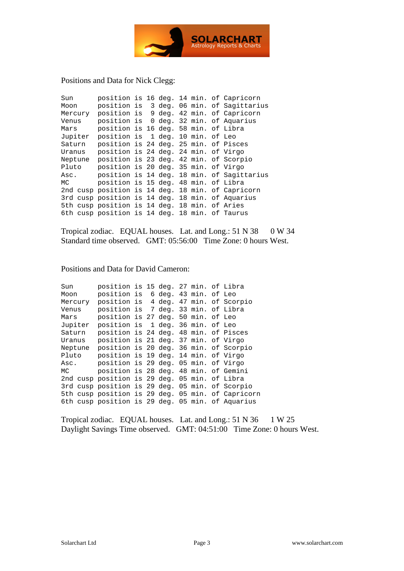

#### Positions and Data for Nick Clegg:

| Sun     |  |                                                  |  |  |  | position is 16 deg. 14 min. of Capricorn          |  |
|---------|--|--------------------------------------------------|--|--|--|---------------------------------------------------|--|
| Moon    |  |                                                  |  |  |  | position is 3 deg. 06 min. of Sagittarius         |  |
| Mercury |  |                                                  |  |  |  | position is 9 deg. 42 min. of Capricorn           |  |
| Venus   |  | position is 0 deg. 32 min. of Aquarius           |  |  |  |                                                   |  |
| Mars    |  | position is 16 deg. 58 min. of Libra             |  |  |  |                                                   |  |
| Jupiter |  | position is 1 deg. 10 min. of Leo                |  |  |  |                                                   |  |
| Saturn  |  | position is 24 deg. 25 min. of Pisces            |  |  |  |                                                   |  |
| Uranus  |  | position is 24 deg. 24 min. of Virgo             |  |  |  |                                                   |  |
| Neptune |  | position is 23 deg. 42 min. of Scorpio           |  |  |  |                                                   |  |
| Pluto   |  | position is 20 deg. 35 min. of Virgo             |  |  |  |                                                   |  |
| Asc.    |  |                                                  |  |  |  | position is 14 deg. 18 min. of Sagittarius        |  |
| MC      |  | position is 15 deg. 48 min. of Libra             |  |  |  |                                                   |  |
|         |  |                                                  |  |  |  | 2nd cusp position is 14 deg. 18 min. of Capricorn |  |
|         |  | 3rd cusp position is 14 deg. 18 min. of Aquarius |  |  |  |                                                   |  |
|         |  | 5th cusp position is 14 deg. 18 min. of Aries    |  |  |  |                                                   |  |
|         |  | 6th cusp position is 14 deg. 18 min. of Taurus   |  |  |  |                                                   |  |

Tropical zodiac. EQUAL houses. Lat. and Long.: 51 N 38 0 W 34 Standard time observed. GMT: 05:56:00 Time Zone: 0 hours West.

#### Positions and Data for David Cameron:

| Sun     |  | position is 15 deg. 27 min. of Libra             |  |  |  |                                                   |
|---------|--|--------------------------------------------------|--|--|--|---------------------------------------------------|
| Moon    |  | position is 6 deg. 43 min. of Leo                |  |  |  |                                                   |
| Mercury |  | position is 4 deg. 47 min. of Scorpio            |  |  |  |                                                   |
| Venus   |  | position is 7 deg. 33 min. of Libra              |  |  |  |                                                   |
| Mars    |  | position is 27 deg. 50 min. of Leo               |  |  |  |                                                   |
| Jupiter |  | position is 1 deg. 36 min. of Leo                |  |  |  |                                                   |
| Saturn  |  | position is 24 deg. 48 min. of Pisces            |  |  |  |                                                   |
| Uranus  |  | position is 21 deg. 37 min. of Virgo             |  |  |  |                                                   |
| Neptune |  | position is 20 deg. 36 min. of Scorpio           |  |  |  |                                                   |
| Pluto   |  | position is 19 deg. 14 min. of Virgo             |  |  |  |                                                   |
| Asc.    |  | position is 29 deg. 05 min. of Virgo             |  |  |  |                                                   |
| MC      |  | position is 28 deg. 48 min. of Gemini            |  |  |  |                                                   |
|         |  | 2nd cusp position is 29 deg. 05 min. of Libra    |  |  |  |                                                   |
|         |  | 3rd cusp position is 29 deg. 05 min. of Scorpio  |  |  |  |                                                   |
|         |  |                                                  |  |  |  | 5th cusp position is 29 deg. 05 min. of Capricorn |
|         |  | 6th cusp position is 29 deg. 05 min. of Aquarius |  |  |  |                                                   |

Tropical zodiac. EQUAL houses. Lat. and Long.: 51 N 36 1 W 25 Daylight Savings Time observed. GMT: 04:51:00 Time Zone: 0 hours West.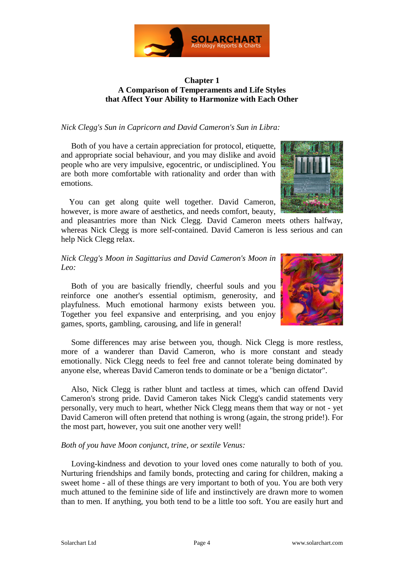

## **Chapter 1 A Comparison of Temperaments and Life Styles that Affect Your Ability to Harmonize with Each Other**

#### *Nick Clegg's Sun in Capricorn and David Cameron's Sun in Libra:*

 Both of you have a certain appreciation for protocol, etiquette, and appropriate social behaviour, and you may dislike and avoid people who are very impulsive, egocentric, or undisciplined. You are both more comfortable with rationality and order than with emotions.

 You can get along quite well together. David Cameron, however, is more aware of aesthetics, and needs comfort, beauty,

and pleasantries more than Nick Clegg. David Cameron meets others halfway, whereas Nick Clegg is more self-contained. David Cameron is less serious and can help Nick Clegg relax.

# *Nick Clegg's Moon in Sagittarius and David Cameron's Moon in Leo:*

 Both of you are basically friendly, cheerful souls and you reinforce one another's essential optimism, generosity, and playfulness. Much emotional harmony exists between you. Together you feel expansive and enterprising, and you enjoy games, sports, gambling, carousing, and life in general!

 Some differences may arise between you, though. Nick Clegg is more restless, more of a wanderer than David Cameron, who is more constant and steady emotionally. Nick Clegg needs to feel free and cannot tolerate being dominated by anyone else, whereas David Cameron tends to dominate or be a "benign dictator".

 Also, Nick Clegg is rather blunt and tactless at times, which can offend David Cameron's strong pride. David Cameron takes Nick Clegg's candid statements very personally, very much to heart, whether Nick Clegg means them that way or not - yet David Cameron will often pretend that nothing is wrong (again, the strong pride!). For the most part, however, you suit one another very well!

#### *Both of you have Moon conjunct, trine, or sextile Venus:*

 Loving-kindness and devotion to your loved ones come naturally to both of you. Nurturing friendships and family bonds, protecting and caring for children, making a sweet home - all of these things are very important to both of you. You are both very much attuned to the feminine side of life and instinctively are drawn more to women than to men. If anything, you both tend to be a little too soft. You are easily hurt and

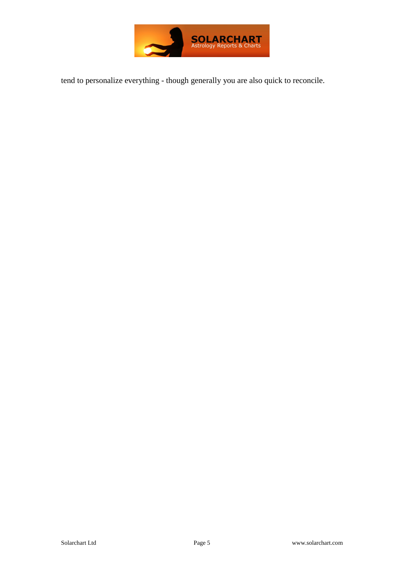

tend to personalize everything - though generally you are also quick to reconcile.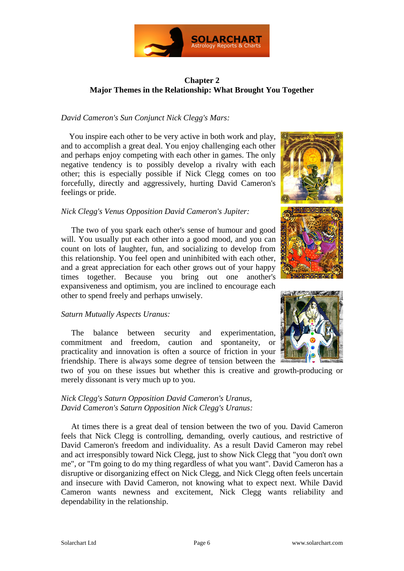

# **Chapter 2 Major Themes in the Relationship: What Brought You Together**

#### *David Cameron's Sun Conjunct Nick Clegg's Mars:*

 You inspire each other to be very active in both work and play, and to accomplish a great deal. You enjoy challenging each other and perhaps enjoy competing with each other in games. The only negative tendency is to possibly develop a rivalry with each other; this is especially possible if Nick Clegg comes on too forcefully, directly and aggressively, hurting David Cameron's feelings or pride.

# *Nick Clegg's Venus Opposition David Cameron's Jupiter:*

 The two of you spark each other's sense of humour and good will. You usually put each other into a good mood, and you can count on lots of laughter, fun, and socializing to develop from this relationship. You feel open and uninhibited with each other, and a great appreciation for each other grows out of your happy times together. Because you bring out one another's expansiveness and optimism, you are inclined to encourage each other to spend freely and perhaps unwisely.

# *Saturn Mutually Aspects Uranus:*

 The balance between security and experimentation, commitment and freedom, caution and spontaneity, or practicality and innovation is often a source of friction in your friendship. There is always some degree of tension between the

two of you on these issues but whether this is creative and growth-producing or merely dissonant is very much up to you.

# *Nick Clegg's Saturn Opposition David Cameron's Uranus, David Cameron's Saturn Opposition Nick Clegg's Uranus:*

 At times there is a great deal of tension between the two of you. David Cameron feels that Nick Clegg is controlling, demanding, overly cautious, and restrictive of David Cameron's freedom and individuality. As a result David Cameron may rebel and act irresponsibly toward Nick Clegg, just to show Nick Clegg that "you don't own me", or "I'm going to do my thing regardless of what you want". David Cameron has a disruptive or disorganizing effect on Nick Clegg, and Nick Clegg often feels uncertain and insecure with David Cameron, not knowing what to expect next. While David Cameron wants newness and excitement, Nick Clegg wants reliability and dependability in the relationship.





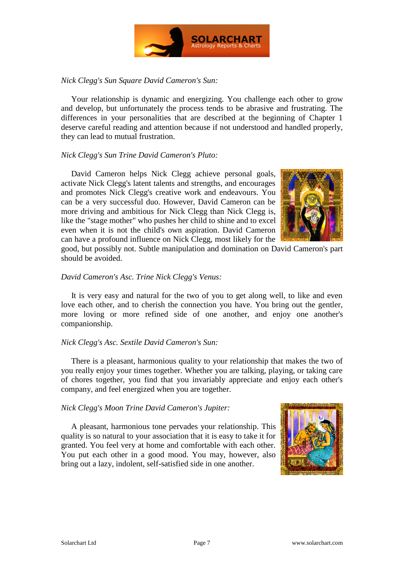

# *Nick Clegg's Sun Square David Cameron's Sun:*

 Your relationship is dynamic and energizing. You challenge each other to grow and develop, but unfortunately the process tends to be abrasive and frustrating. The differences in your personalities that are described at the beginning of Chapter 1 deserve careful reading and attention because if not understood and handled properly, they can lead to mutual frustration.

# *Nick Clegg's Sun Trine David Cameron's Pluto:*

 David Cameron helps Nick Clegg achieve personal goals, activate Nick Clegg's latent talents and strengths, and encourages and promotes Nick Clegg's creative work and endeavours. You can be a very successful duo. However, David Cameron can be more driving and ambitious for Nick Clegg than Nick Clegg is, like the "stage mother" who pushes her child to shine and to excel even when it is not the child's own aspiration. David Cameron can have a profound influence on Nick Clegg, most likely for the



good, but possibly not. Subtle manipulation and domination on David Cameron's part should be avoided.

#### *David Cameron's Asc. Trine Nick Clegg's Venus:*

 It is very easy and natural for the two of you to get along well, to like and even love each other, and to cherish the connection you have. You bring out the gentler, more loving or more refined side of one another, and enjoy one another's companionship.

#### *Nick Clegg's Asc. Sextile David Cameron's Sun:*

 There is a pleasant, harmonious quality to your relationship that makes the two of you really enjoy your times together. Whether you are talking, playing, or taking care of chores together, you find that you invariably appreciate and enjoy each other's company, and feel energized when you are together.

#### *Nick Clegg's Moon Trine David Cameron's Jupiter:*

 A pleasant, harmonious tone pervades your relationship. This quality is so natural to your association that it is easy to take it for granted. You feel very at home and comfortable with each other. You put each other in a good mood. You may, however, also bring out a lazy, indolent, self-satisfied side in one another.

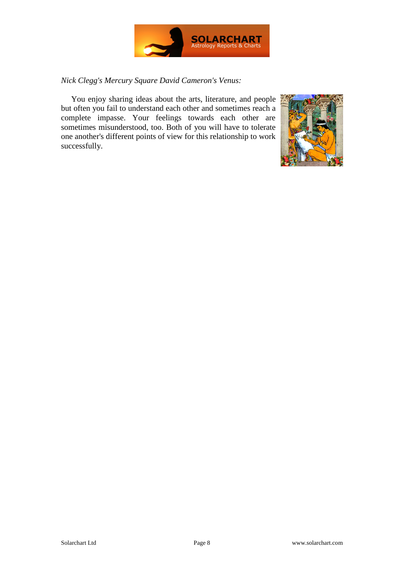

# *Nick Clegg's Mercury Square David Cameron's Venus:*

 You enjoy sharing ideas about the arts, literature, and people but often you fail to understand each other and sometimes reach a complete impasse. Your feelings towards each other are sometimes misunderstood, too. Both of you will have to tolerate one another's different points of view for this relationship to work successfully.

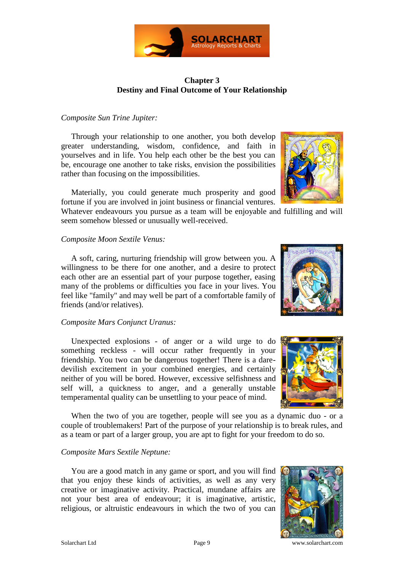

# **Chapter 3 Destiny and Final Outcome of Your Relationship**

#### *Composite Sun Trine Jupiter:*

 Through your relationship to one another, you both develop greater understanding, wisdom, confidence, and faith in yourselves and in life. You help each other be the best you can be, encourage one another to take risks, envision the possibilities rather than focusing on the impossibilities.

 Materially, you could generate much prosperity and good fortune if you are involved in joint business or financial ventures.

Whatever endeavours you pursue as a team will be enjoyable and fulfilling and will seem somehow blessed or unusually well-received.

#### *Composite Moon Sextile Venus:*

 A soft, caring, nurturing friendship will grow between you. A willingness to be there for one another, and a desire to protect each other are an essential part of your purpose together, easing many of the problems or difficulties you face in your lives. You feel like "family" and may well be part of a comfortable family of friends (and/or relatives).

# *Composite Mars Conjunct Uranus:*

 Unexpected explosions - of anger or a wild urge to do something reckless - will occur rather frequently in your friendship. You two can be dangerous together! There is a daredevilish excitement in your combined energies, and certainly neither of you will be bored. However, excessive selfishness and self will, a quickness to anger, and a generally unstable temperamental quality can be unsettling to your peace of mind.

 When the two of you are together, people will see you as a dynamic duo - or a couple of troublemakers! Part of the purpose of your relationship is to break rules, and as a team or part of a larger group, you are apt to fight for your freedom to do so.

#### *Composite Mars Sextile Neptune:*

 You are a good match in any game or sport, and you will find that you enjoy these kinds of activities, as well as any very creative or imaginative activity. Practical, mundane affairs are not your best area of endeavour; it is imaginative, artistic, religious, or altruistic endeavours in which the two of you can







Solarchart Ltd Page 9 <www.solarchart.com>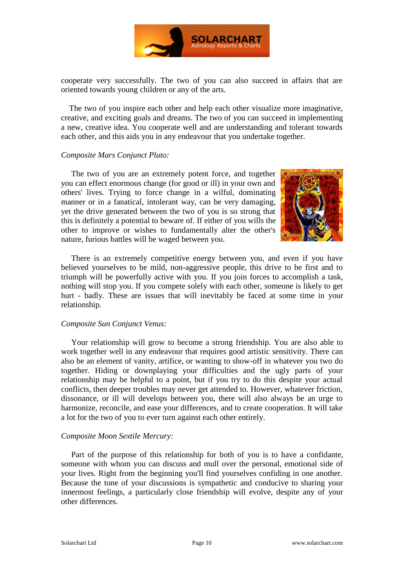

cooperate very successfully. The two of you can also succeed in affairs that are oriented towards young children or any of the arts.

 The two of you inspire each other and help each other visualize more imaginative, creative, and exciting goals and dreams. The two of you can succeed in implementing a new, creative idea. You cooperate well and are understanding and tolerant towards each other, and this aids you in any endeavour that you undertake together.

#### *Composite Mars Conjunct Pluto:*

 The two of you are an extremely potent force, and together you can effect enormous change (for good or ill) in your own and others' lives. Trying to force change in a wilful, dominating manner or in a fanatical, intolerant way, can be very damaging, yet the drive generated between the two of you is so strong that this is definitely a potential to beware of. If either of you wills the other to improve or wishes to fundamentally alter the other's nature, furious battles will be waged between you.



 There is an extremely competitive energy between you, and even if you have believed yourselves to be mild, non-aggressive people, this drive to be first and to triumph will be powerfully active with you. If you join forces to accomplish a task, nothing will stop you. If you compete solely with each other, someone is likely to get hurt - badly. These are issues that will inevitably be faced at some time in your relationship.

#### *Composite Sun Conjunct Venus:*

 Your relationship will grow to become a strong friendship. You are also able to work together well in any endeavour that requires good artistic sensitivity. There can also be an element of vanity, artifice, or wanting to show-off in whatever you two do together. Hiding or downplaying your difficulties and the ugly parts of your relationship may be helpful to a point, but if you try to do this despite your actual conflicts, then deeper troubles may never get attended to. However, whatever friction, dissonance, or ill will develops between you, there will also always be an urge to harmonize, reconcile, and ease your differences, and to create cooperation. It will take a lot for the two of you to ever turn against each other entirely.

#### *Composite Moon Sextile Mercury:*

 Part of the purpose of this relationship for both of you is to have a confidante, someone with whom you can discuss and mull over the personal, emotional side of your lives. Right from the beginning you'll find yourselves confiding in one another. Because the tone of your discussions is sympathetic and conducive to sharing your innermost feelings, a particularly close friendship will evolve, despite any of your other differences.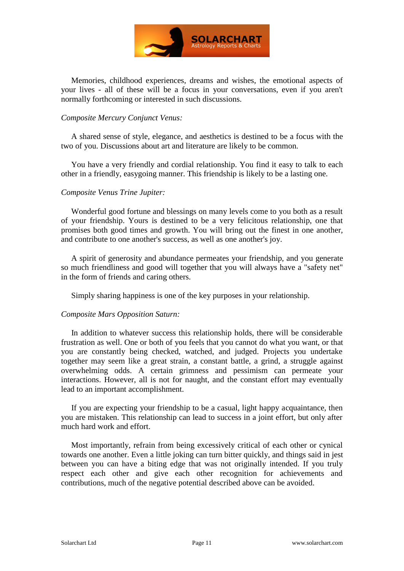

 Memories, childhood experiences, dreams and wishes, the emotional aspects of your lives - all of these will be a focus in your conversations, even if you aren't normally forthcoming or interested in such discussions.

#### *Composite Mercury Conjunct Venus:*

 A shared sense of style, elegance, and aesthetics is destined to be a focus with the two of you. Discussions about art and literature are likely to be common.

 You have a very friendly and cordial relationship. You find it easy to talk to each other in a friendly, easygoing manner. This friendship is likely to be a lasting one.

#### *Composite Venus Trine Jupiter:*

 Wonderful good fortune and blessings on many levels come to you both as a result of your friendship. Yours is destined to be a very felicitous relationship, one that promises both good times and growth. You will bring out the finest in one another, and contribute to one another's success, as well as one another's joy.

 A spirit of generosity and abundance permeates your friendship, and you generate so much friendliness and good will together that you will always have a "safety net" in the form of friends and caring others.

Simply sharing happiness is one of the key purposes in your relationship.

#### *Composite Mars Opposition Saturn:*

 In addition to whatever success this relationship holds, there will be considerable frustration as well. One or both of you feels that you cannot do what you want, or that you are constantly being checked, watched, and judged. Projects you undertake together may seem like a great strain, a constant battle, a grind, a struggle against overwhelming odds. A certain grimness and pessimism can permeate your interactions. However, all is not for naught, and the constant effort may eventually lead to an important accomplishment.

 If you are expecting your friendship to be a casual, light happy acquaintance, then you are mistaken. This relationship can lead to success in a joint effort, but only after much hard work and effort.

 Most importantly, refrain from being excessively critical of each other or cynical towards one another. Even a little joking can turn bitter quickly, and things said in jest between you can have a biting edge that was not originally intended. If you truly respect each other and give each other recognition for achievements and contributions, much of the negative potential described above can be avoided.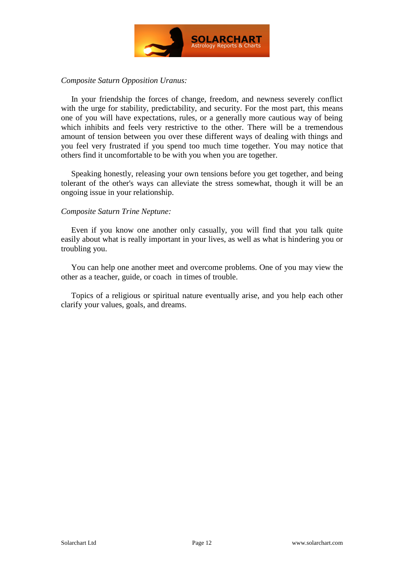

#### *Composite Saturn Opposition Uranus:*

 In your friendship the forces of change, freedom, and newness severely conflict with the urge for stability, predictability, and security. For the most part, this means one of you will have expectations, rules, or a generally more cautious way of being which inhibits and feels very restrictive to the other. There will be a tremendous amount of tension between you over these different ways of dealing with things and you feel very frustrated if you spend too much time together. You may notice that others find it uncomfortable to be with you when you are together.

 Speaking honestly, releasing your own tensions before you get together, and being tolerant of the other's ways can alleviate the stress somewhat, though it will be an ongoing issue in your relationship.

#### *Composite Saturn Trine Neptune:*

 Even if you know one another only casually, you will find that you talk quite easily about what is really important in your lives, as well as what is hindering you or troubling you.

 You can help one another meet and overcome problems. One of you may view the other as a teacher, guide, or coach in times of trouble.

 Topics of a religious or spiritual nature eventually arise, and you help each other clarify your values, goals, and dreams.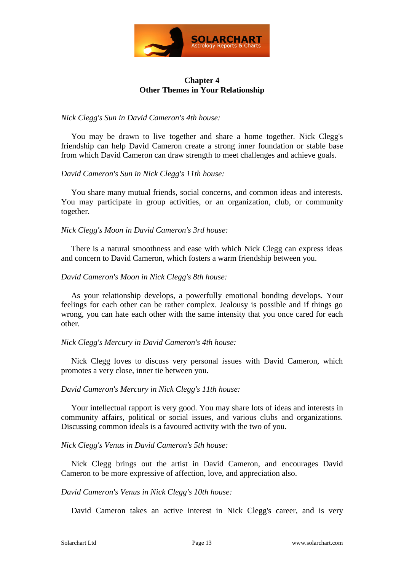

# **Chapter 4 Other Themes in Your Relationship**

*Nick Clegg's Sun in David Cameron's 4th house:*

 You may be drawn to live together and share a home together. Nick Clegg's friendship can help David Cameron create a strong inner foundation or stable base from which David Cameron can draw strength to meet challenges and achieve goals.

# *David Cameron's Sun in Nick Clegg's 11th house:*

 You share many mutual friends, social concerns, and common ideas and interests. You may participate in group activities, or an organization, club, or community together.

# *Nick Clegg's Moon in David Cameron's 3rd house:*

 There is a natural smoothness and ease with which Nick Clegg can express ideas and concern to David Cameron, which fosters a warm friendship between you.

# *David Cameron's Moon in Nick Clegg's 8th house:*

 As your relationship develops, a powerfully emotional bonding develops. Your feelings for each other can be rather complex. Jealousy is possible and if things go wrong, you can hate each other with the same intensity that you once cared for each other.

#### *Nick Clegg's Mercury in David Cameron's 4th house:*

 Nick Clegg loves to discuss very personal issues with David Cameron, which promotes a very close, inner tie between you.

#### *David Cameron's Mercury in Nick Clegg's 11th house:*

 Your intellectual rapport is very good. You may share lots of ideas and interests in community affairs, political or social issues, and various clubs and organizations. Discussing common ideals is a favoured activity with the two of you.

#### *Nick Clegg's Venus in David Cameron's 5th house:*

 Nick Clegg brings out the artist in David Cameron, and encourages David Cameron to be more expressive of affection, love, and appreciation also.

#### *David Cameron's Venus in Nick Clegg's 10th house:*

David Cameron takes an active interest in Nick Clegg's career, and is very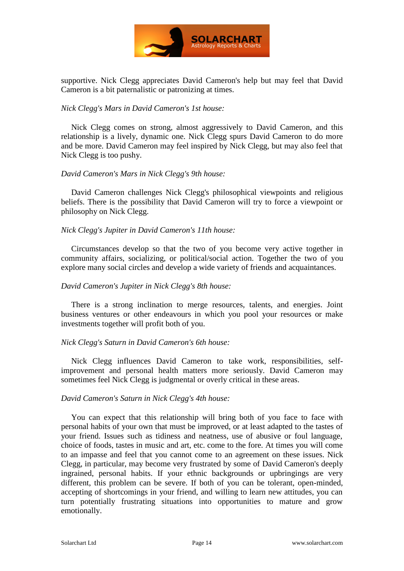

supportive. Nick Clegg appreciates David Cameron's help but may feel that David Cameron is a bit paternalistic or patronizing at times.

## *Nick Clegg's Mars in David Cameron's 1st house:*

 Nick Clegg comes on strong, almost aggressively to David Cameron, and this relationship is a lively, dynamic one. Nick Clegg spurs David Cameron to do more and be more. David Cameron may feel inspired by Nick Clegg, but may also feel that Nick Clegg is too pushy.

#### *David Cameron's Mars in Nick Clegg's 9th house:*

 David Cameron challenges Nick Clegg's philosophical viewpoints and religious beliefs. There is the possibility that David Cameron will try to force a viewpoint or philosophy on Nick Clegg.

#### *Nick Clegg's Jupiter in David Cameron's 11th house:*

 Circumstances develop so that the two of you become very active together in community affairs, socializing, or political/social action. Together the two of you explore many social circles and develop a wide variety of friends and acquaintances.

#### *David Cameron's Jupiter in Nick Clegg's 8th house:*

 There is a strong inclination to merge resources, talents, and energies. Joint business ventures or other endeavours in which you pool your resources or make investments together will profit both of you.

#### *Nick Clegg's Saturn in David Cameron's 6th house:*

 Nick Clegg influences David Cameron to take work, responsibilities, selfimprovement and personal health matters more seriously. David Cameron may sometimes feel Nick Clegg is judgmental or overly critical in these areas.

#### *David Cameron's Saturn in Nick Clegg's 4th house:*

 You can expect that this relationship will bring both of you face to face with personal habits of your own that must be improved, or at least adapted to the tastes of your friend. Issues such as tidiness and neatness, use of abusive or foul language, choice of foods, tastes in music and art, etc. come to the fore. At times you will come to an impasse and feel that you cannot come to an agreement on these issues. Nick Clegg, in particular, may become very frustrated by some of David Cameron's deeply ingrained, personal habits. If your ethnic backgrounds or upbringings are very different, this problem can be severe. If both of you can be tolerant, open-minded, accepting of shortcomings in your friend, and willing to learn new attitudes, you can turn potentially frustrating situations into opportunities to mature and grow emotionally.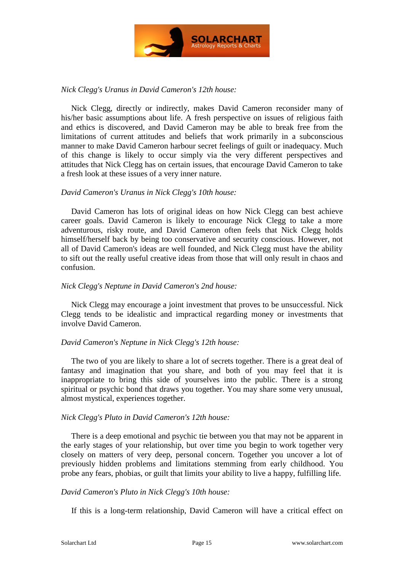

## *Nick Clegg's Uranus in David Cameron's 12th house:*

 Nick Clegg, directly or indirectly, makes David Cameron reconsider many of his/her basic assumptions about life. A fresh perspective on issues of religious faith and ethics is discovered, and David Cameron may be able to break free from the limitations of current attitudes and beliefs that work primarily in a subconscious manner to make David Cameron harbour secret feelings of guilt or inadequacy. Much of this change is likely to occur simply via the very different perspectives and attitudes that Nick Clegg has on certain issues, that encourage David Cameron to take a fresh look at these issues of a very inner nature.

#### *David Cameron's Uranus in Nick Clegg's 10th house:*

 David Cameron has lots of original ideas on how Nick Clegg can best achieve career goals. David Cameron is likely to encourage Nick Clegg to take a more adventurous, risky route, and David Cameron often feels that Nick Clegg holds himself/herself back by being too conservative and security conscious. However, not all of David Cameron's ideas are well founded, and Nick Clegg must have the ability to sift out the really useful creative ideas from those that will only result in chaos and confusion.

#### *Nick Clegg's Neptune in David Cameron's 2nd house:*

 Nick Clegg may encourage a joint investment that proves to be unsuccessful. Nick Clegg tends to be idealistic and impractical regarding money or investments that involve David Cameron.

#### *David Cameron's Neptune in Nick Clegg's 12th house:*

 The two of you are likely to share a lot of secrets together. There is a great deal of fantasy and imagination that you share, and both of you may feel that it is inappropriate to bring this side of yourselves into the public. There is a strong spiritual or psychic bond that draws you together. You may share some very unusual, almost mystical, experiences together.

#### *Nick Clegg's Pluto in David Cameron's 12th house:*

 There is a deep emotional and psychic tie between you that may not be apparent in the early stages of your relationship, but over time you begin to work together very closely on matters of very deep, personal concern. Together you uncover a lot of previously hidden problems and limitations stemming from early childhood. You probe any fears, phobias, or guilt that limits your ability to live a happy, fulfilling life.

#### *David Cameron's Pluto in Nick Clegg's 10th house:*

If this is a long-term relationship, David Cameron will have a critical effect on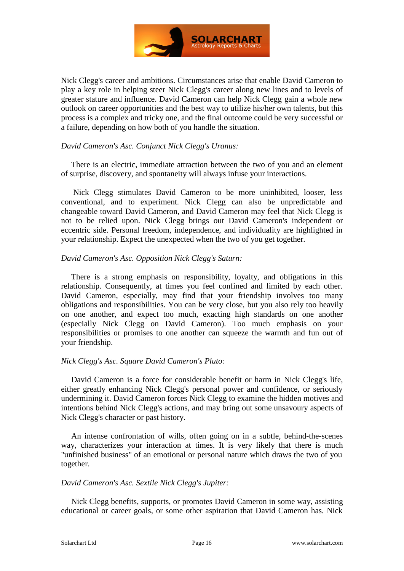

Nick Clegg's career and ambitions. Circumstances arise that enable David Cameron to play a key role in helping steer Nick Clegg's career along new lines and to levels of greater stature and influence. David Cameron can help Nick Clegg gain a whole new outlook on career opportunities and the best way to utilize his/her own talents, but this process is a complex and tricky one, and the final outcome could be very successful or a failure, depending on how both of you handle the situation.

#### *David Cameron's Asc. Conjunct Nick Clegg's Uranus:*

 There is an electric, immediate attraction between the two of you and an element of surprise, discovery, and spontaneity will always infuse your interactions.

 Nick Clegg stimulates David Cameron to be more uninhibited, looser, less conventional, and to experiment. Nick Clegg can also be unpredictable and changeable toward David Cameron, and David Cameron may feel that Nick Clegg is not to be relied upon. Nick Clegg brings out David Cameron's independent or eccentric side. Personal freedom, independence, and individuality are highlighted in your relationship. Expect the unexpected when the two of you get together.

#### *David Cameron's Asc. Opposition Nick Clegg's Saturn:*

 There is a strong emphasis on responsibility, loyalty, and obligations in this relationship. Consequently, at times you feel confined and limited by each other. David Cameron, especially, may find that your friendship involves too many obligations and responsibilities. You can be very close, but you also rely too heavily on one another, and expect too much, exacting high standards on one another (especially Nick Clegg on David Cameron). Too much emphasis on your responsibilities or promises to one another can squeeze the warmth and fun out of your friendship.

#### *Nick Clegg's Asc. Square David Cameron's Pluto:*

 David Cameron is a force for considerable benefit or harm in Nick Clegg's life, either greatly enhancing Nick Clegg's personal power and confidence, or seriously undermining it. David Cameron forces Nick Clegg to examine the hidden motives and intentions behind Nick Clegg's actions, and may bring out some unsavoury aspects of Nick Clegg's character or past history.

 An intense confrontation of wills, often going on in a subtle, behind-the-scenes way, characterizes your interaction at times. It is very likely that there is much "unfinished business" of an emotional or personal nature which draws the two of you together.

#### *David Cameron's Asc. Sextile Nick Clegg's Jupiter:*

 Nick Clegg benefits, supports, or promotes David Cameron in some way, assisting educational or career goals, or some other aspiration that David Cameron has. Nick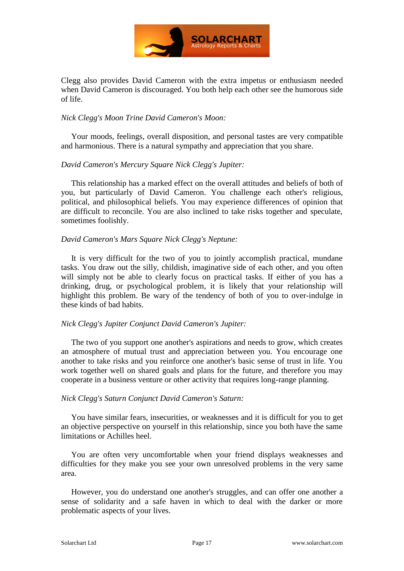

Clegg also provides David Cameron with the extra impetus or enthusiasm needed when David Cameron is discouraged. You both help each other see the humorous side of life.

#### *Nick Clegg's Moon Trine David Cameron's Moon:*

 Your moods, feelings, overall disposition, and personal tastes are very compatible and harmonious. There is a natural sympathy and appreciation that you share.

#### *David Cameron's Mercury Square Nick Clegg's Jupiter:*

 This relationship has a marked effect on the overall attitudes and beliefs of both of you, but particularly of David Cameron. You challenge each other's religious, political, and philosophical beliefs. You may experience differences of opinion that are difficult to reconcile. You are also inclined to take risks together and speculate, sometimes foolishly.

#### *David Cameron's Mars Square Nick Clegg's Neptune:*

 It is very difficult for the two of you to jointly accomplish practical, mundane tasks. You draw out the silly, childish, imaginative side of each other, and you often will simply not be able to clearly focus on practical tasks. If either of you has a drinking, drug, or psychological problem, it is likely that your relationship will highlight this problem. Be wary of the tendency of both of you to over-indulge in these kinds of bad habits.

#### *Nick Clegg's Jupiter Conjunct David Cameron's Jupiter:*

 The two of you support one another's aspirations and needs to grow, which creates an atmosphere of mutual trust and appreciation between you. You encourage one another to take risks and you reinforce one another's basic sense of trust in life. You work together well on shared goals and plans for the future, and therefore you may cooperate in a business venture or other activity that requires long-range planning.

#### *Nick Clegg's Saturn Conjunct David Cameron's Saturn:*

 You have similar fears, insecurities, or weaknesses and it is difficult for you to get an objective perspective on yourself in this relationship, since you both have the same limitations or Achilles heel.

 You are often very uncomfortable when your friend displays weaknesses and difficulties for they make you see your own unresolved problems in the very same area.

 However, you do understand one another's struggles, and can offer one another a sense of solidarity and a safe haven in which to deal with the darker or more problematic aspects of your lives.